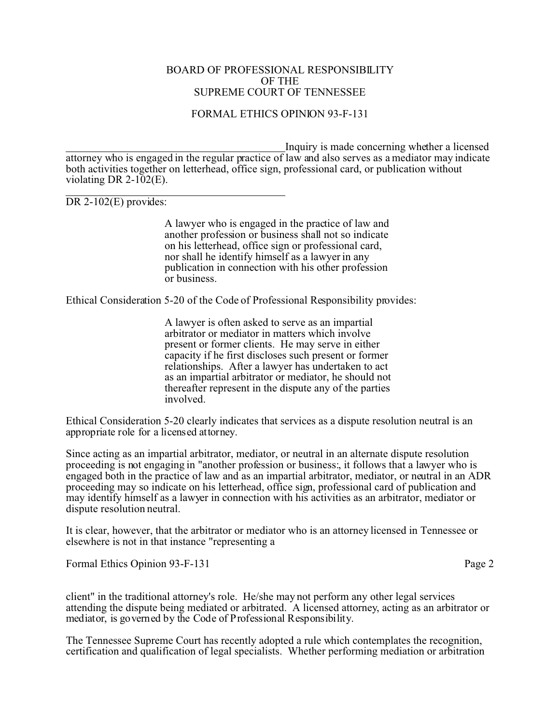## BOARD OF PROFESSIONAL RESPONSIBILITY OF THE SUPREME COURT OF TENNESSEE

## FORMAL ETHICS OPINION 93-F-131

 Inquiry is made concerning whether a licensed attorney who is engaged in the regular practice of law and also serves as a mediator may indicate both activities together on letterhead, office sign, professional card, or publication without violating DR 2-102(E).

 $\overline{a}$ DR 2-102(E) provides:

> A lawyer who is engaged in the practice of law and another profession or business shall not so indicate on his letterhead, office sign or professional card, nor shall he identify himself as a lawyer in any publication in connection with his other profession or business.

Ethical Consideration 5-20 of the Code of Professional Responsibility provides:

A lawyer is often asked to serve as an impartial arbitrator or mediator in matters which involve present or former clients. He may serve in either capacity if he first discloses such present or former relationships. After a lawyer has undertaken to act as an impartial arbitrator or mediator, he should not thereafter represent in the dispute any of the parties involved.

Ethical Consideration 5-20 clearly indicates that services as a dispute resolution neutral is an appropriate role for a licensed attorney.

Since acting as an impartial arbitrator, mediator, or neutral in an alternate dispute resolution proceeding is not engaging in "another profession or business:, it follows that a lawyer who is engaged both in the practice of law and as an impartial arbitrator, mediator, or neutral in an ADR proceeding may so indicate on his letterhead, office sign, professional card of publication and may identify himself as a lawyer in connection with his activities as an arbitrator, mediator or dispute resolution neutral.

It is clear, however, that the arbitrator or mediator who is an attorney licensed in Tennessee or elsewhere is not in that instance "representing a

Formal Ethics Opinion 93-F-131 Page 2

client" in the traditional attorney's role. He/she may not perform any other legal services attending the dispute being mediated or arbitrated. A licensed attorney, acting as an arbitrator or mediator, is governed by the Code of Professional Responsibility.

The Tennessee Supreme Court has recently adopted a rule which contemplates the recognition, certification and qualification of legal specialists. Whether performing mediation or arbitration